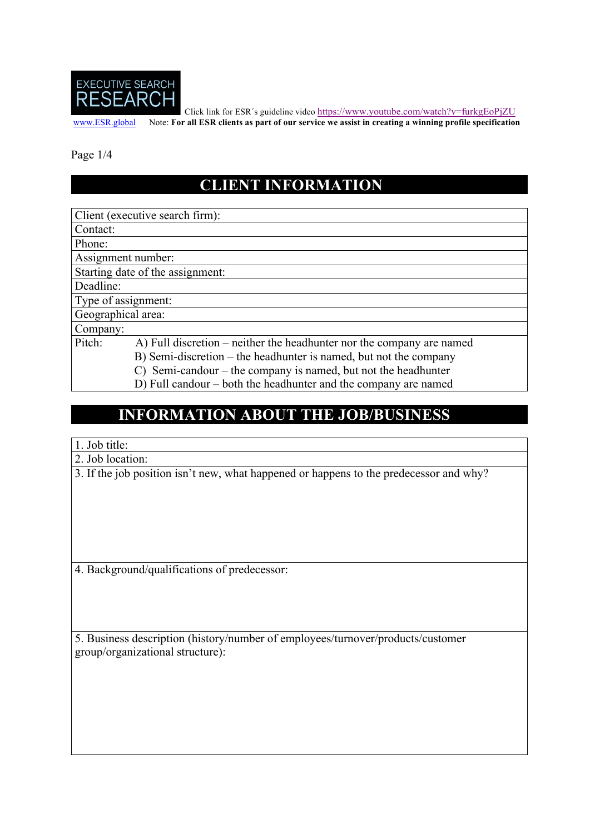

Click link for ESR´s guideline video https://www.youtube.com/watch?v=furkgEoPjZU

www.ESR.global Note: **For all ESR clients as part of our service we assist in creating a winning profile specification**

Page 1/4

### **CLIENT INFORMATION**

Client (executive search firm):

Contact:

Phone:

Assignment number:

Starting date of the assignment:

Deadline:

Type of assignment:

Geographical area:

Company:

Pitch: A) Full discretion – neither the headhunter nor the company are named

B) Semi-discretion – the headhunter is named, but not the company

C) Semi-candour – the company is named, but not the headhunter

D) Full candour – both the headhunter and the company are named

#### **INFORMATION ABOUT THE JOB/BUSINESS**

#### 1. Job title:

2. Job location:

3. If the job position isn't new, what happened or happens to the predecessor and why?

4. Background/qualifications of predecessor:

5. Business description (history/number of employees/turnover/products/customer group/organizational structure):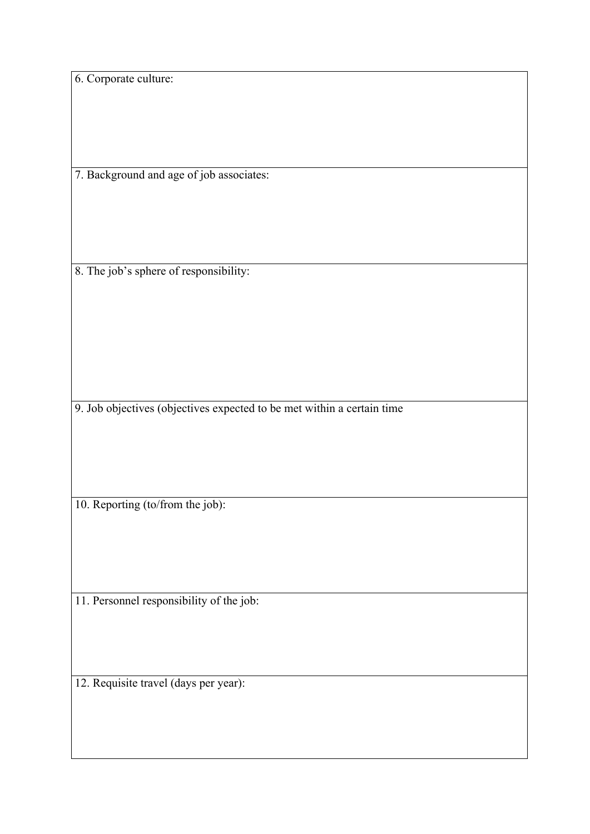6. Corporate culture:

7. Background and age of job associates:

8. The job's sphere of responsibility:

9. Job objectives (objectives expected to be met within a certain time

10. Reporting (to/from the job):

11. Personnel responsibility of the job:

12. Requisite travel (days per year):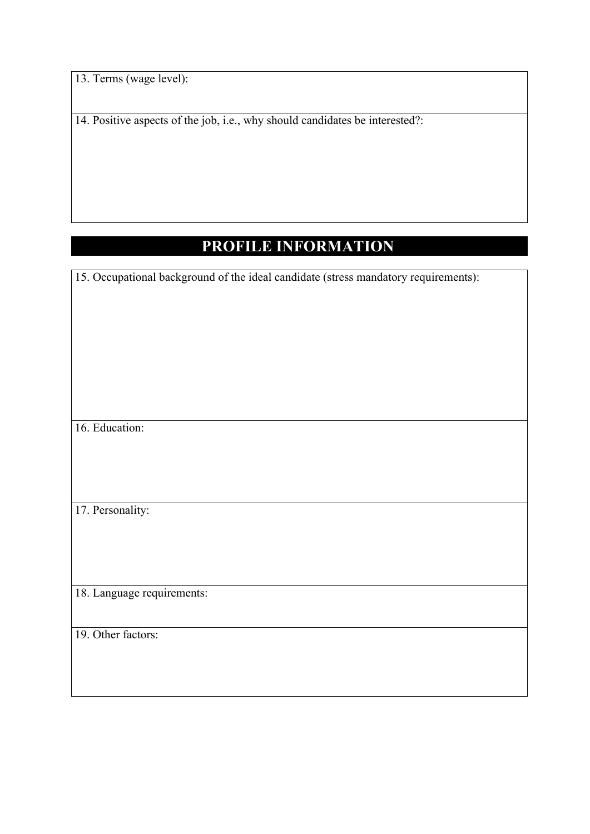13. Terms (wage level):

14. Positive aspects of the job, i.e., why should candidates be interested?:

## **PROFILE INFORMATION**

15. Occupational background of the ideal candidate (stress mandatory requirements):

16. Education:

17. Personality:

18. Language requirements:

19. Other factors: